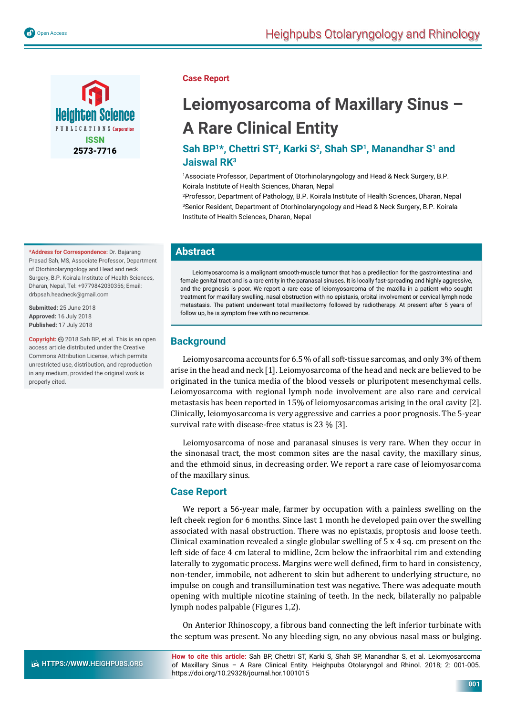

**\*Address for Correspondence:** Dr. Bajarang Prasad Sah, MS, Associate Professor, Department of Otorhinolaryngology and Head and neck Surgery, B.P. Koirala Institute of Health Sciences, Dharan, Nepal, Tel: +9779842030356; Email: drbpsah.headneck@gmail.com

**Submitted:** 25 June 2018 **Approved:** 16 July 2018 **Published:** 17 July 2018

**Copyright:** 2018 Sah BP, et al. This is an open access article distributed under the Creative Commons Attribution License, which permits unrestricted use, distribution, and reproduction in any medium, provided the original work is properly cited.

### **Case Report**

# **Leiomyosarcoma of Maxillary Sinus – A Rare Clinical Entity**

## Sah BP<sup>1\*</sup>, Chettri ST<sup>2</sup>, Karki S<sup>2</sup>, Shah SP<sup>1</sup>, Manandhar S<sup>1</sup> and **Jaiswal RK3**

1 Associate Professor, Department of Otorhinolaryngology and Head & Neck Surgery, B.P. Koirala Institute of Health Sciences, Dharan, Nepal

2 Professor, Department of Pathology, B.P. Koirala Institute of Health Sciences, Dharan, Nepal 3 Senior Resident, Department of Otorhinolaryngology and Head & Neck Surgery, B.P. Koirala Institute of Health Sciences, Dharan, Nepal

## **Abstract**

Leiomyosarcoma is a malignant smooth-muscle tumor that has a predilection for the gastrointestinal and female genital tract and is a rare entity in the paranasal sinuses. It is locally fast-spreading and highly aggressive, and the prognosis is poor. We report a rare case of leiomyosarcoma of the maxilla in a patient who sought treatment for maxillary swelling, nasal obstruction with no epistaxis, orbital involvement or cervical lymph node metastasis. The patient underwent total maxillectomy followed by radiotherapy. At present after 5 years of follow up, he is symptom free with no recurrence.

## **Background**

Leiomyosarcoma accounts for 6.5 % of all soft-tissue sarcomas, and only 3% of them arise in the head and neck [1]. Leiomyosarcoma of the head and neck are believed to be originated in the tunica media of the blood vessels or pluripotent mesenchymal cells. Leiomyosarcoma with regional lymph node involvement are also rare and cervical metastasis has been reported in 15% of leiomyosarcomas arising in the oral cavity [2]. Clinically, leiomyosarcoma is very aggressive and carries a poor prognosis. The 5-year survival rate with disease-free status is 23 % [3].

Leiomyosarcoma of nose and paranasal sinuses is very rare. When they occur in the sinonasal tract, the most common sites are the nasal cavity, the maxillary sinus, and the ethmoid sinus, in decreasing order. We report a rare case of leiomyosarcoma of the maxillary sinus.

## **Case Report**

We report a 56-year male, farmer by occupation with a painless swelling on the left cheek region for 6 months. Since last 1 month he developed pain over the swelling associated with nasal obstruction. There was no epistaxis, proptosis and loose teeth. Clinical examination revealed a single globular swelling of  $5 \times 4$  sq. cm present on the left side of face 4 cm lateral to midline, 2cm below the infraorbital rim and extending laterally to zygomatic process. Margins were well defined, firm to hard in consistency, non-tender, immobile, not adherent to skin but adherent to underlying structure, no impulse on cough and transillumination test was negative. There was adequate mouth opening with multiple nicotine staining of teeth. In the neck, bilaterally no palpable lymph nodes palpable (Figures 1,2).

On Anterior Rhinoscopy, a fibrous band connecting the left inferior turbinate with the septum was present. No any bleeding sign, no any obvious nasal mass or bulging.

**How to cite this article:** Sah BP, Chettri ST, Karki S, Shah SP, Manandhar S, et al. Leiomyosarcoma of Maxillary Sinus – A Rare Clinical Entity. Heighpubs Otolaryngol and Rhinol. 2018; 2: 001-005. https://doi.org/10.29328/journal.hor.1001015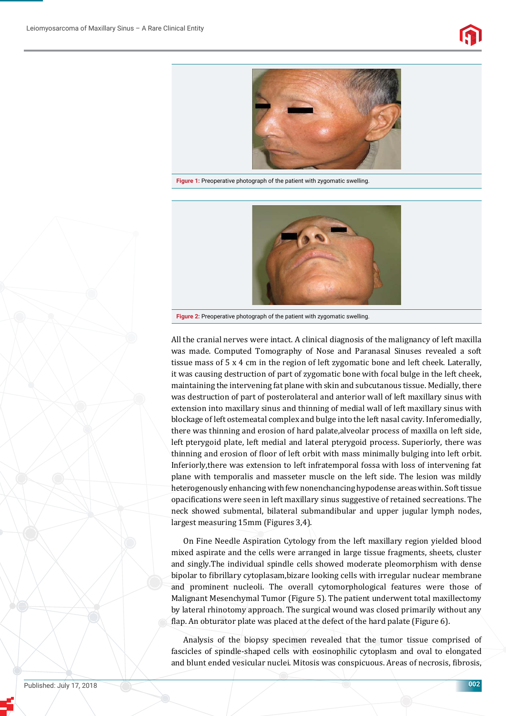



**Figure 1:** Preoperative photograph of the patient with zygomatic swelling.



**Figure 2:** Preoperative photograph of the patient with zygomatic swelling.

All the cranial nerves were intact. A clinical diagnosis of the malignancy of left maxilla was made. Computed Tomography of Nose and Paranasal Sinuses revealed a soft tissue mass of 5 x 4 cm in the region of left zygomatic bone and left cheek. Laterally, it was causing destruction of part of zygomatic bone with focal bulge in the left cheek, maintaining the intervening fat plane with skin and subcutanous tissue. Medially, there was destruction of part of posterolateral and anterior wall of left maxillary sinus with extension into maxillary sinus and thinning of medial wall of left maxillary sinus with blockage of left ostemeatal complex and bulge into the left nasal cavity. Inferomedially, there was thinning and erosion of hard palate,alveolar process of maxilla on left side, left pterygoid plate, left medial and lateral pterygoid process. Superiorly, there was thinning and erosion of floor of left orbit with mass minimally bulging into left orbit. Inferiorly,there was extension to left infratemporal fossa with loss of intervening fat plane with temporalis and masseter muscle on the left side. The lesion was mildly heterogenously enhancing with few nonenchancing hypodense areas within. Soft tissue opacifications were seen in left maxillary sinus suggestive of retained secreations. The neck showed submental, bilateral submandibular and upper jugular lymph nodes, largest measuring 15mm (Figures 3,4).

On Fine Needle Aspiration Cytology from the left maxillary region yielded blood mixed aspirate and the cells were arranged in large tissue fragments, sheets, cluster and singly.The individual spindle cells showed moderate pleomorphism with dense bipolar to fibrillary cytoplasam, bizare looking cells with irregular nuclear membrane and prominent nucleoli. The overall cytomorphological features were those of Malignant Mesenchymal Tumor (Figure 5). The patient underwent total maxillectomy by lateral rhinotomy approach. The surgical wound was closed primarily without any flap. An obturator plate was placed at the defect of the hard palate (Figure 6).

Analysis of the biopsy specimen revealed that the tumor tissue comprised of fascicles of spindle-shaped cells with eosinophilic cytoplasm and oval to elongated and blunt ended vesicular nuclei. Mitosis was conspicuous. Areas of necrosis, fibrosis,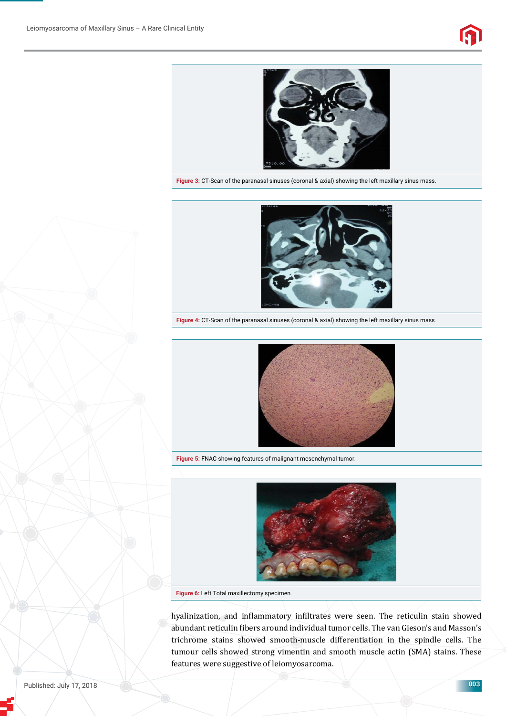



**Figure 3:** CT-Scan of the paranasal sinuses (coronal & axial) showing the left maxillary sinus mass.



**Figure 4:** CT-Scan of the paranasal sinuses (coronal & axial) showing the left maxillary sinus mass.



**Figure 5:** FNAC showing features of malignant mesenchymal tumor.



**Figure 6:** Left Total maxillectomy specimen.

hyalinization, and inflammatory infiltrates were seen. The reticulin stain showed abundant reticulin fibers around individual tumor cells. The van Gieson's and Masson's trichrome stains showed smooth-muscle differentiation in the spindle cells. The tumour cells showed strong vimentin and smooth muscle actin (SMA) stains. These features were suggestive of leiomyosarcoma.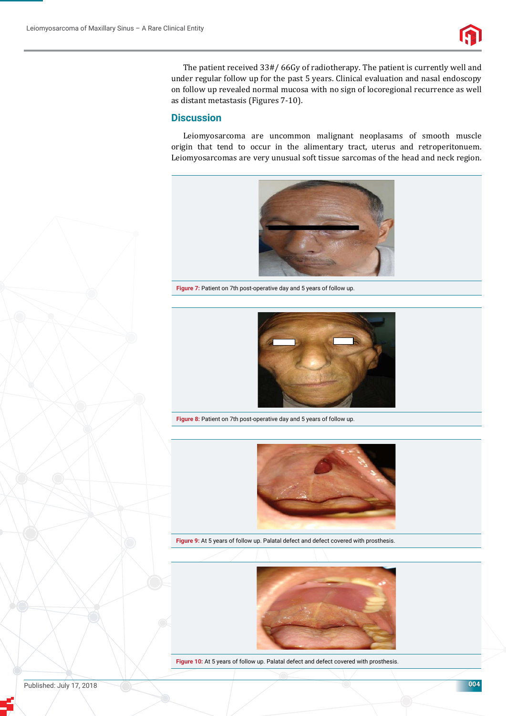

The patient received 33#/ 66Gy of radiotherapy. The patient is currently well and under regular follow up for the past 5 years. Clinical evaluation and nasal endoscopy on follow up revealed normal mucosa with no sign of locoregional recurrence as well as distant metastasis (Figures 7-10).

### **Discussion**

Leiomyosarcoma are uncommon malignant neoplasams of smooth muscle origin that tend to occur in the alimentary tract, uterus and retroperitonuem. Leiomyosarcomas are very unusual soft tissue sarcomas of the head and neck region.



**Figure 7:** Patient on 7th post-operative day and 5 years of follow up.



**Figure 8:** Patient on 7th post-operative day and 5 years of follow up.



**Figure 9:** At 5 years of follow up. Palatal defect and defect covered with prosthesis.



Figure 10: At 5 years of follow up. Palatal defect and defect covered with prosthesis.